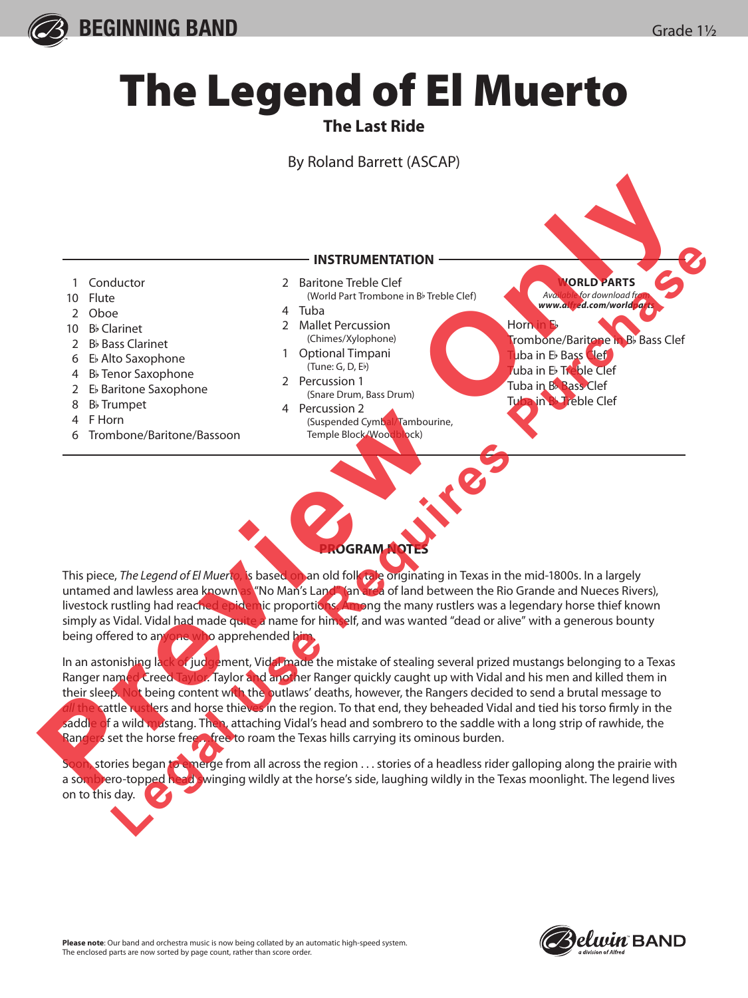

## The Legend of El Muerto

**The Last Ride**

By Roland Barrett (ASCAP)

- 1 Conductor
- 10 Flute
- 2 Oboe
- 10 Bb Clarinet
- 2 Bb Bass Clarinet
- 6 Eb Alto Saxophone
- 4 Bb Tenor Saxophone
- 2 Eb Baritone Saxophone
- 8 Bb Trumpet
- 4 F Horn
- 6 Trombone/Baritone/Bassoon
- **INSTRUMENTATION**
- 2 Baritone Treble Clef (World Part Trombone in Bb Treble Clef)
- 4 Tuba
- 2 Mallet Percussion (Chimes/Xylophone)
- 1 Optional Timpani (Tune: G, D, Eb)
- 2 Percussion 1 (Snare Drum, Bass Drum)
- 4 Percussion 2 (Suspended Cymbal/Tambourine, Temple Block/Woodblock)

*Available for download fr www.alfred.com/worldparts* Horn in Trombone/Baritone in Bb Bass Clef uba in E<sub>b</sub> Bass Clef

**WORLD PARTS**

**Juba in El Treble Clef** Tuba in B. Bass Clef Tuba in Bb Treble Clef

**GRAM NOTE** This piece, *The Legend of El Muerto*, is based on an old folk tale originating in Texas in the mid-1800s. In a largely untamed and lawless area known as "No Man's Land" (an area of land between the Rio Grande and Nueces Rivers),

livestock rustling had reached epidemic proportions. Among the many rustlers was a legendary horse thief known simply as Vidal. Vidal had made quite a name for himself, and was wanted "dead or alive" with a generous bounty being offered to anyone who apprehended him

In an astonishing lack of judgement, Vidal made the mistake of stealing several prized mustangs belonging to a Texas Ranger named Creed Taylor. Taylor and another Ranger quickly caught up with Vidal and his men and killed them in their sleep. Not being content with the outlaws' deaths, however, the Rangers decided to send a brutal message to **rattle rustlers and horse thieves in the region. To that end, they beheaded Vidal and tied his torso firmly in the** saddle of a wild mustang. Then, attaching Vidal's head and sombrero to the saddle with a long strip of rawhide, the Rangers set the horse free…free to roam the Texas hills carrying its ominous burden. **Preview Construction of the constrained**<br> **Preview of the constrained and the constrained and the constrained and the constrained and the constrained by the constrained by the constrained and the constrained by the constr** Hotel Control and The Control and The Theorem Control and The Theorem Control and The Theorem Saxon and The Control and The Control and The Control and The Control and The Control and The Control and The Control and The Co

i<mark>on,</mark> stories began to emerge from all across the region . . . stories of a headless rider galloping along the prairie with a sombrero-topped head swinging wildly at the horse's side, laughing wildly in the Texas moonlight. The legend lives on to this day.



**Please note**: Our band and orchestra music is now being collated by an automatic high-speed system. The enclosed parts are now sorted by page count, rather than score order.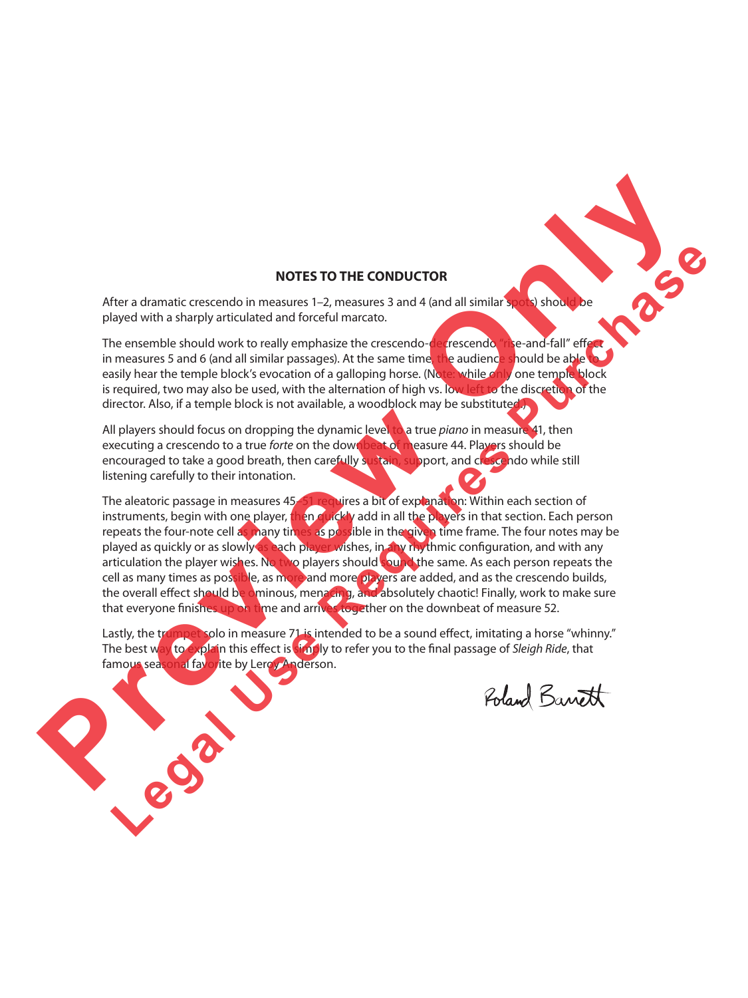## **NOTES TO THE CONDUCTOR**

After a dramatic crescendo in measures 1–2, measures 3 and 4 (and all similar spots) should be played with a sharply articulated and forceful marcato.

The ensemble should work to really emphasize the crescendo-decrescendo "rise-and-fall" effer in measures 5 and 6 (and all similar passages). At the same time, the audience should be able to easily hear the temple block's evocation of a galloping horse. (Note: while only one temple block is required, two may also be used, with the alternation of high vs. low left to the discretion of the director. Also, if a temple block is not available, a woodblock may be substituted.)

All players should focus on dropping the dynamic level to a true *piano* in measure 41, then executing a crescendo to a true *forte* on the downbeat of measure 44. Players should be encouraged to take a good breath, then carefully sustain, support, and crescendo while still listening carefully to their intonation.

The aleatoric passage in measures 45–51 requires a bit of explanation: Within each section of instruments, begin with one player, then quickly add in all the players in that section. Each person repeats the four-note cell as many times as possible in the given time frame. The four notes may be played as quickly or as slowly as each player wishes, in any rhythmic configuration, and with any articulation the player wishes. No two players should sound the same. As each person repeats the cell as many times as possible, as more and more players are added, and as the crescendo builds, the overall effect should be ominous, menacing, and absolutely chaotic! Finally, work to make sure that everyone finis<mark>hes up on ti</mark>me and arrives together on the downbeat of measure 52. **Previously of the straight of the control of the control of the control of the control of the control of the control of the control of the control of the control of the control of the control of the control of the control Legach Constrainer Constrainer Constrainer Constrainer Constrainer Constrainer Constrainer Constrainer Constrainer Constrainer Constrainer Constrainer Constrainer Constrainer Constrainer Constrainer Constrainer Constraine** 

Lastly, the trumpet solo in measure 71 is intended to be a sound effect, imitating a horse "whinny." The best way to explain this effect is simply to refer you to the final passage of *Sleigh Ride*, that famous seasonal favorite by Leroy Anderson.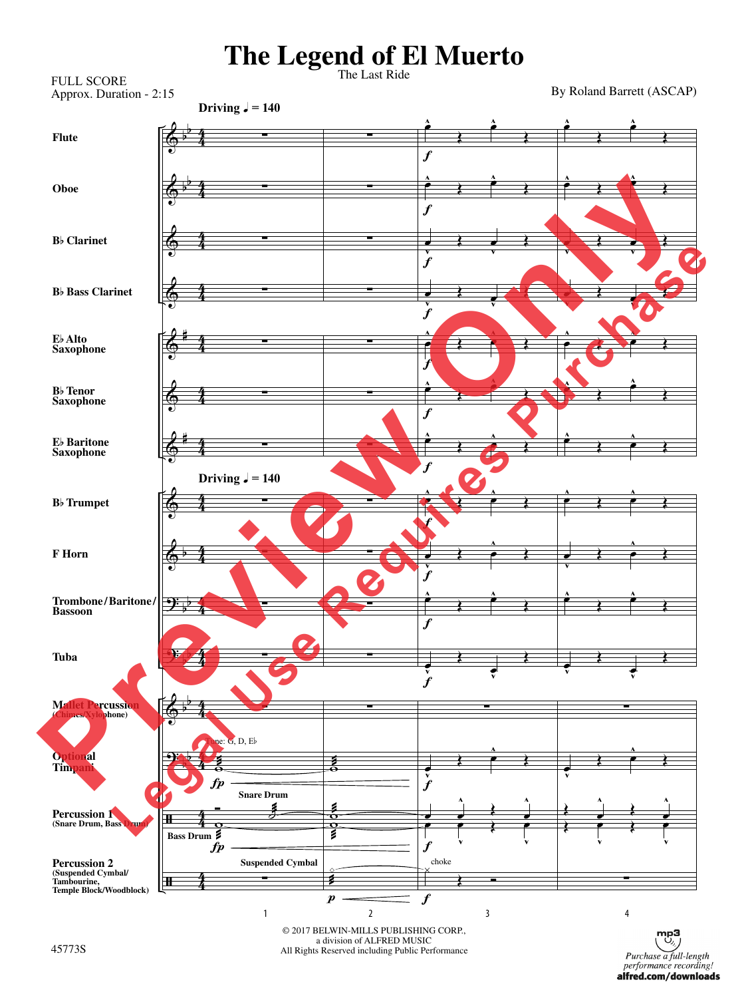## **The Legend of El Muerto**

FULL SCORE The Last Ride Approx. Duration - 2:15

By Roland Barrett (ASCAP)



© 2017 BELWIN-MILLS PUBLISHING CORP., a division of ALFRED MUSIC All Rights Reserved including Public Performance

mp3<br>( ၂) Purchase a full-length<br>performance recording!<br>**alfred.com/downloads**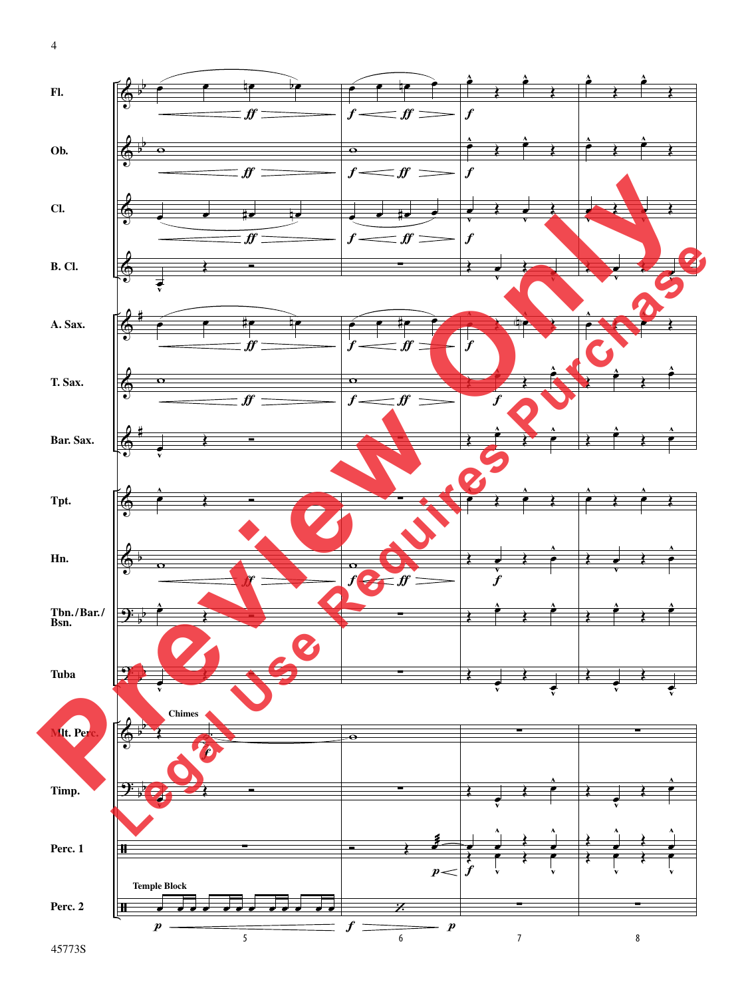œ^ œ^ œ^ œ^ œ b e e be œ œn œ œ b Œ Œ Œ Œ **Fl.** &&&&&&&&&??&?ãã ƒƒƒƒƒƒ  $\boldsymbol{f}$  $f$   $\overline{f}$   $\overline{f}$   $\overline{f}$   $\overline{f}$   $\overline{f}$   $\overline{f}$   $\overline{f}$   $\overline{f}$   $\overline{f}$   $\overline{f}$   $\overline{f}$   $\overline{f}$   $\overline{f}$   $\overline{f}$   $\overline{f}$   $\overline{f}$   $\overline{f}$   $\overline{f}$   $\overline{f}$   $\overline{f}$   $\overline{f}$   $\overline{f}$   $\overline{f}$   $\overline{f}$   $\boldsymbol{f}$ ff de ferste de ferste de ferste de ferste de ferste de ferste de ferste de ferste de ferste de ferste de ferste de ferste de ferste de ferste de ferste de ferste de ferste de ferste de ferste de ferste de ferste de ferste Ĥ ff œ^  $\triangle$  $\triangleq$  $\frac{1}{\epsilon}$ b b  $\frac{1}{\sqrt{2}}$  $\frac{1}{\sqrt{2}}$ Œ Œ Œ Œ **Ob.** A ƒƒƒƒƒ **Preview Only 2019** Œ Œ Œ Œ **Cl.** œv œv œv œv œ œ œ# œn œ œ# **Legal Use Requires Purchase** $\mathbf{\hat{z}}$ ∑ Œ Œ Œ Œ **B. Cl.** œv œv œv **L** œv ##bb  $\frac{\lambda}{\rho}$ <sup>Œ</sup> œN ^  $\frac{1}{\epsilon}$ œ^ œ  $e$   $\frac{4}{3}e$   $\frac{1}{2}e$ œ œ# œ œ Œ Œ Œ **A. Sax.** œ^ œ^ œ^ œ^  $rac{1}{\sqrt{1-\frac{1}{\sqrt{1-\frac{1}{\sqrt{1-\frac{1}{\sqrt{1-\frac{1}{\sqrt{1-\frac{1}{\sqrt{1-\frac{1}{\sqrt{1-\frac{1}{\sqrt{1-\frac{1}{\sqrt{1-\frac{1}{\sqrt{1-\frac{1}{\sqrt{1-\frac{1}{\sqrt{1-\frac{1}{\sqrt{1-\frac{1}{\sqrt{1-\frac{1}{\sqrt{1-\frac{1}{\sqrt{1-\frac{1}{\sqrt{1-\frac{1}{\sqrt{1-\frac{1}{\sqrt{1-\frac{1}{\sqrt{1-\frac{1}{\sqrt{1-\frac{1}{\sqrt{1-\frac{1}{\sqrt{1-\frac{1}{\sqrt{1-\frac{1}{$ Œ Œ Œ Œ **T. Sax.**  $\overline{\mathbf{o}}$  $f$  and  $f$  and  $f$  and  $f$  and  $f$ œ^ œ^  $\frac{1}{2}$  $\frac{1}{\epsilon}$ ∑∑ Œ Œ Œ Œ **Bar. Sax.**  $\overrightarrow{e}$   $\overrightarrow{e}$ œ^  $\frac{1}{\epsilon}$  $\frac{1}{\epsilon}$  $\frac{1}{\epsilon}$ Œ Œ Œ Œ **Tpt.**  $\frac{1}{\epsilon}$  $\frac{1}{\epsilon}$ Œ Œ Œ Œ **Hn.**  $\frac{1}{\sqrt{2}}$  $\frac{1}{\nu}$ e  $\overline{\mathbf{o}}$ œ^ œ^ œ^ œ^ b **Tbn. /Bar. /** ∑∑ Œ Œ Œ Œ **Bsn.** b **Tuba** œv Œ Ó Œ Œ Œ Œ b œv œv œv œv **Chimes** b **Mlt. Per** b  $\frac{1}{\sqrt{2}}$ ∑ ∑  $\overline{\mathbf{e}}$ f  $\frac{\lambda}{\epsilon}$  $\frac{\lambda}{\epsilon}$ b ævende en de la de la de la de la de la de la de la de la de la de la de la de la de la de la de la de la de ∑ Œ Œ Œ Œ **Timp.** b œv œv  $\frac{1}{\epsilon}$  $\frac{1}{\epsilon}$  $\frac{1}{\epsilon}$  $\frac{1}{\epsilon}$ Œ Œ Œ Ͼ œ <u>i</u> Œ **Perc. 1**  $\mathbf{H}$ e<br>V e<br>C<br>v e<br>C<br>v e<br>C<br>v Œ Œ Œ Œ  $p<$ **Temple Block** —<br>7  $\frac{1}{\sqrt{25}}$ **Perc. 2** <sup>5</sup> <sup>œ</sup> <sup>œ</sup> <sup>œ</sup> <sup>œ</sup> <sup>œ</sup> <sup>œ</sup> <sup>œ</sup> œ œ œ œ œ  $\bf{H}$  $\frac{X}{6}$ f  $\cdot$   $\boldsymbol{p}$  $\boldsymbol{p}$ 

 $\overline{7}$ 

 $\,8\,$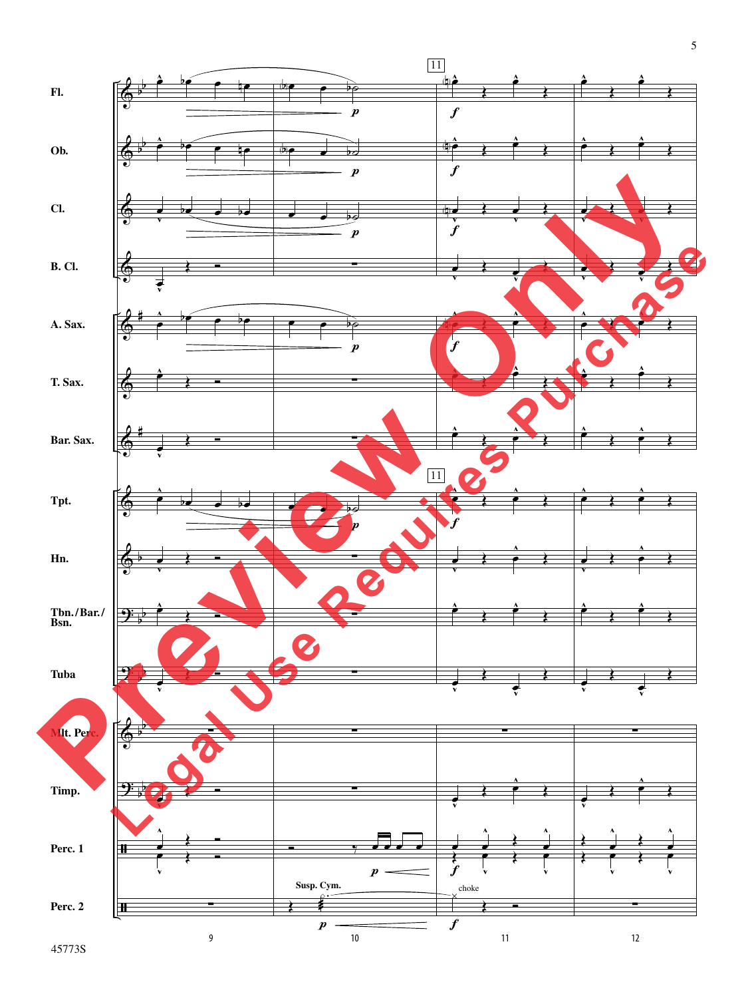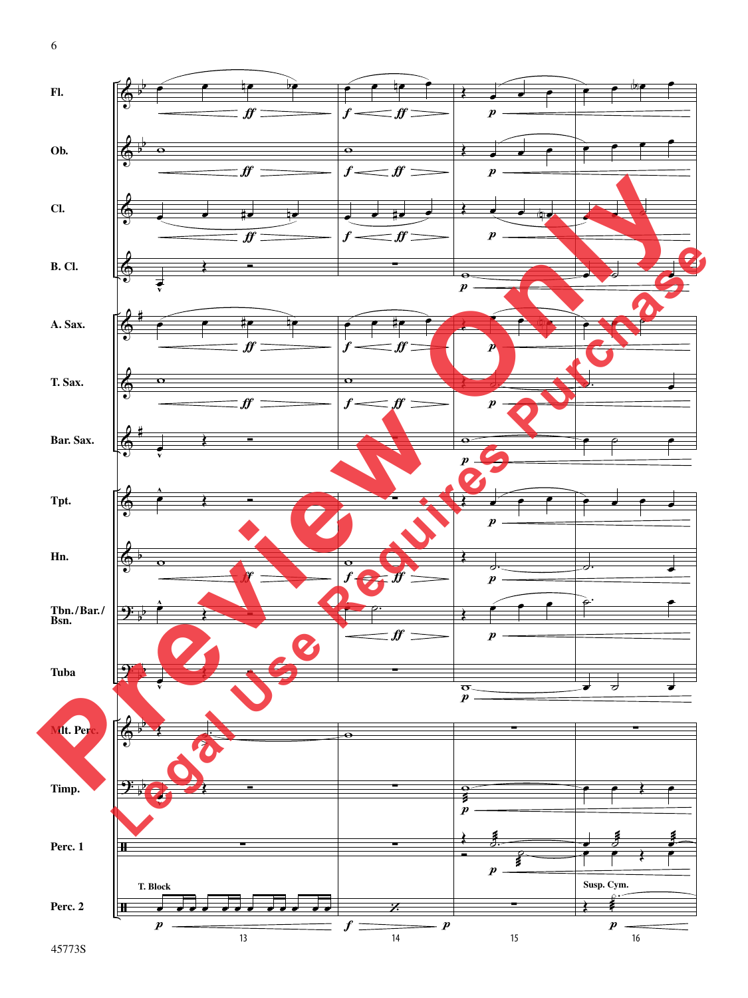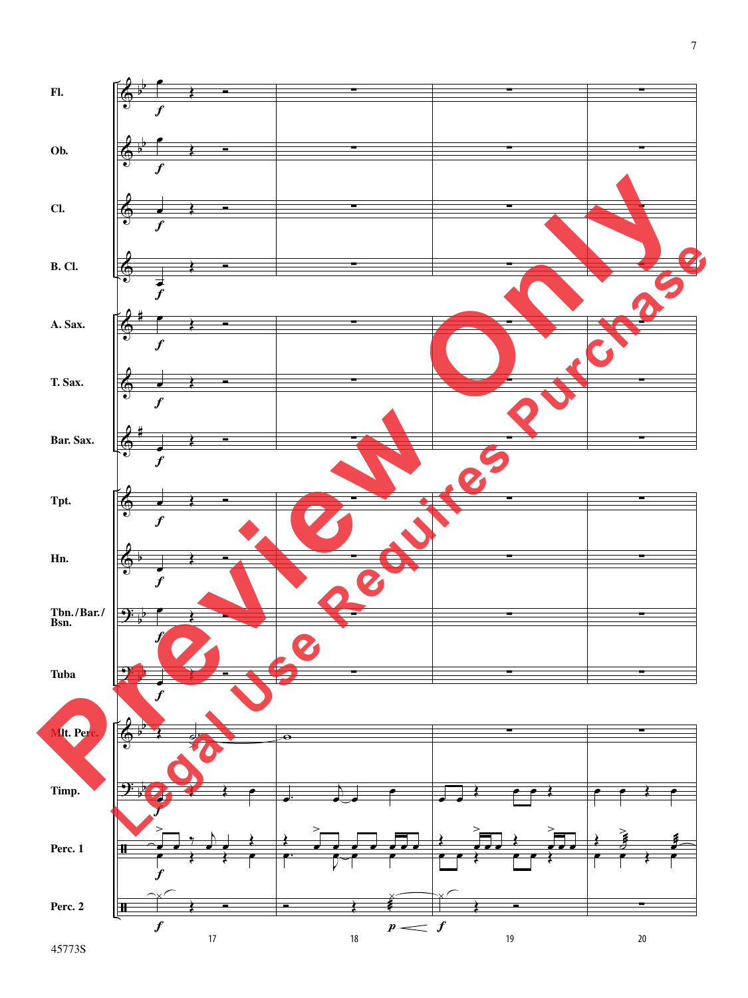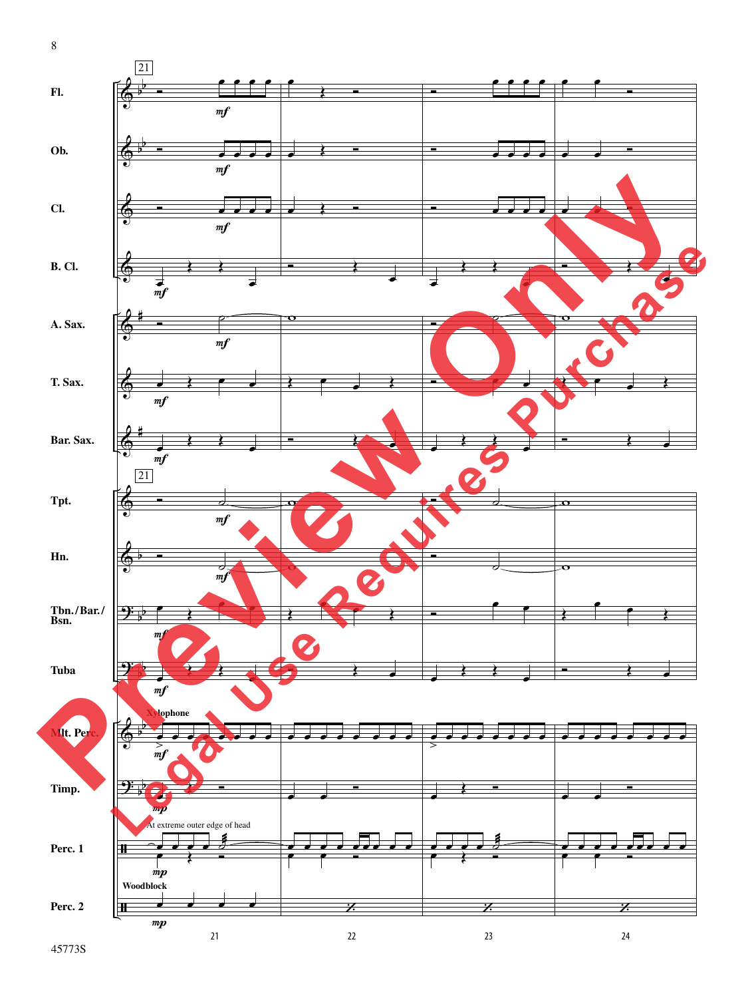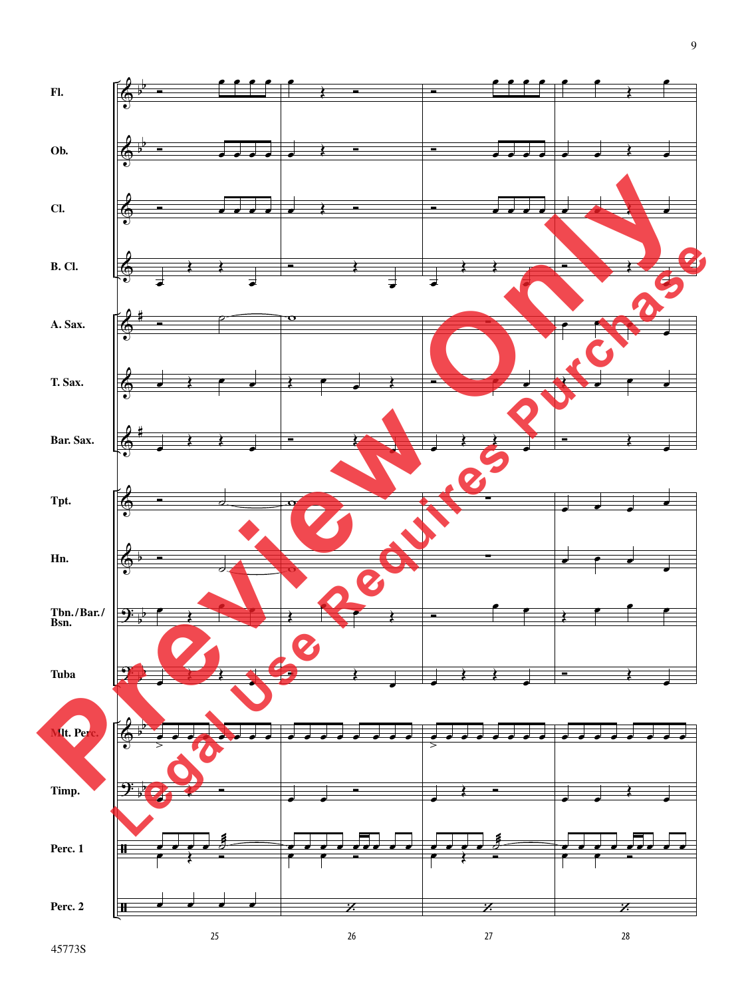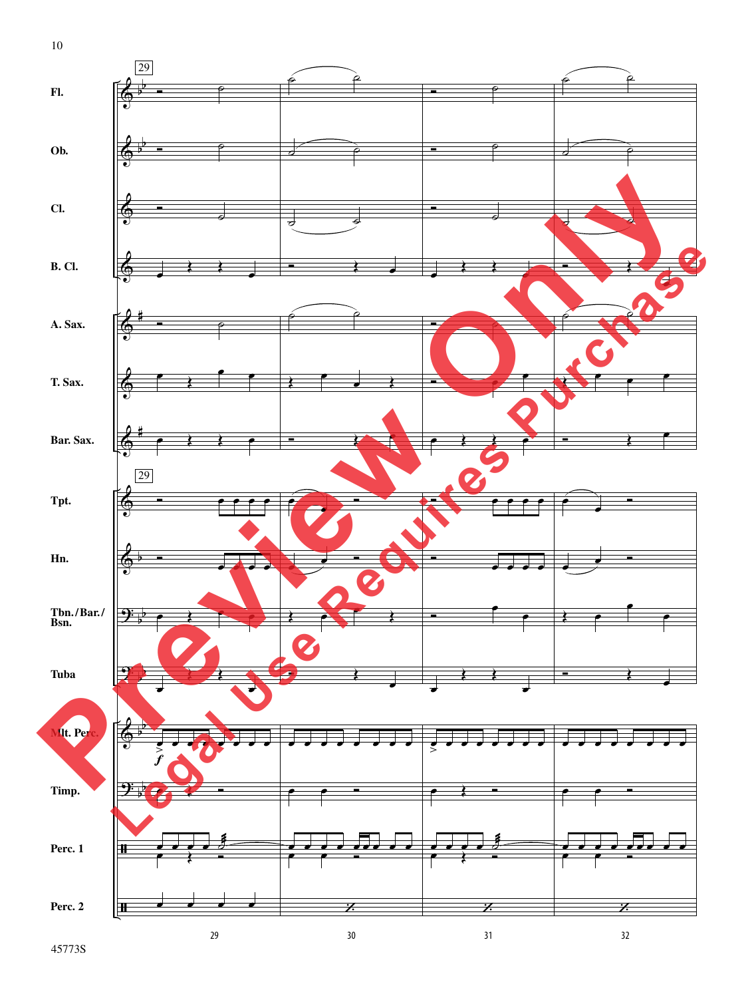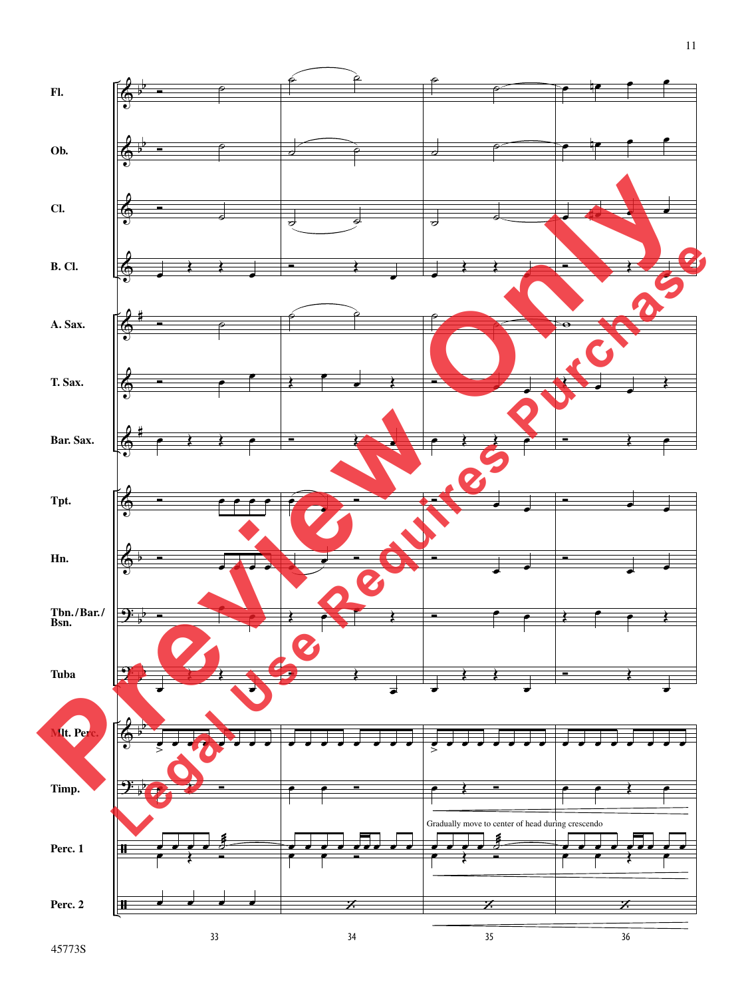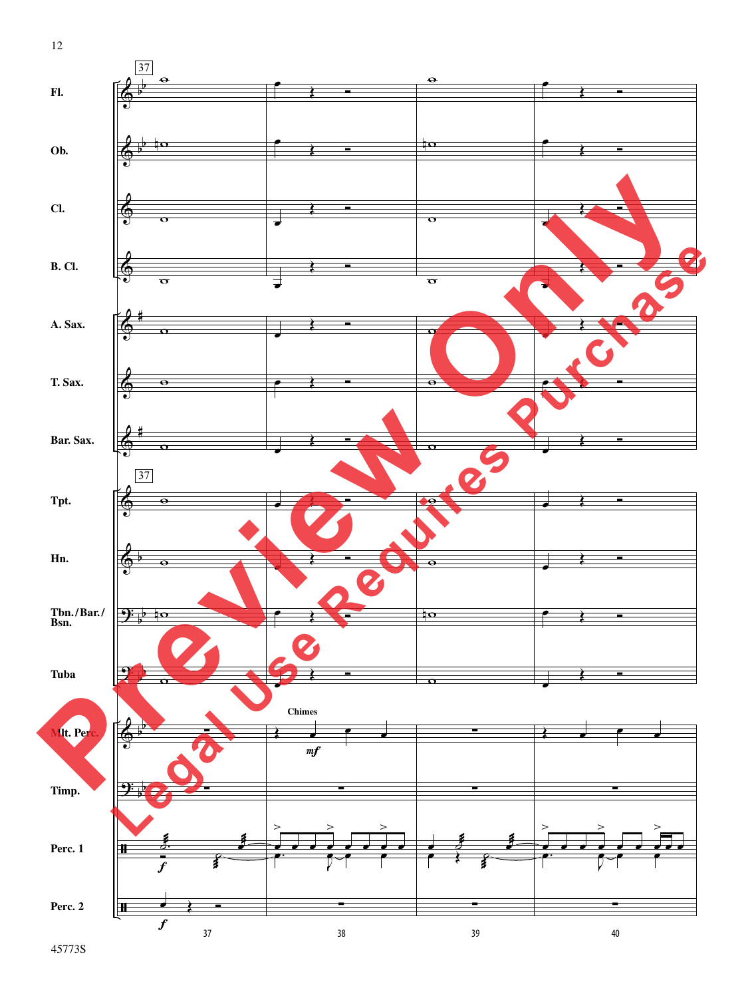

 $12 \,$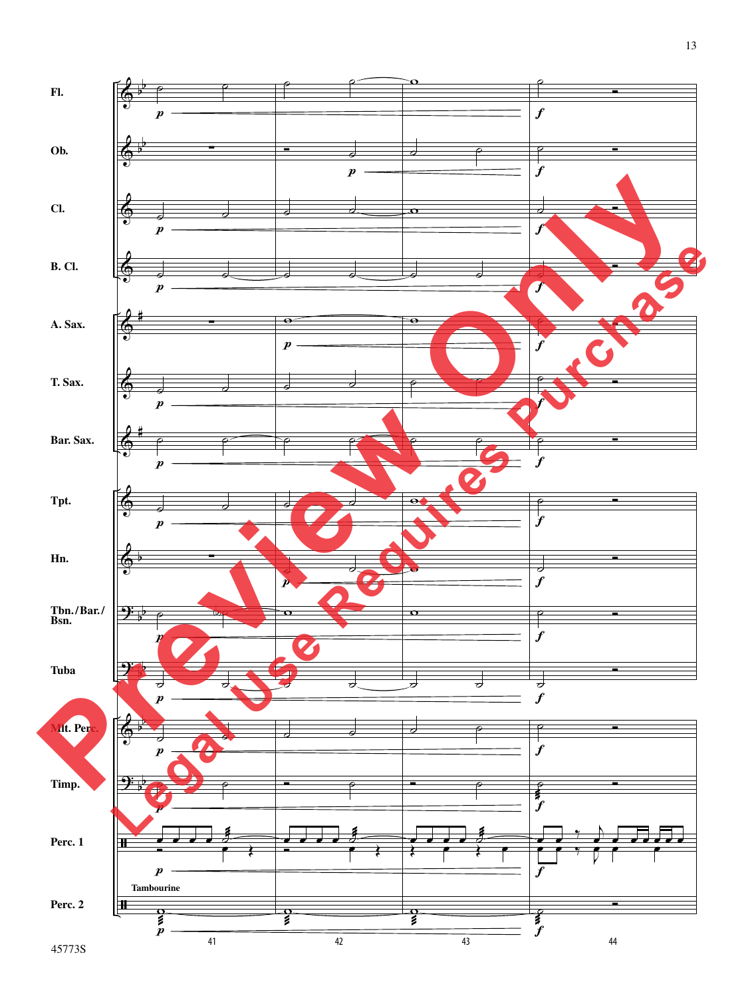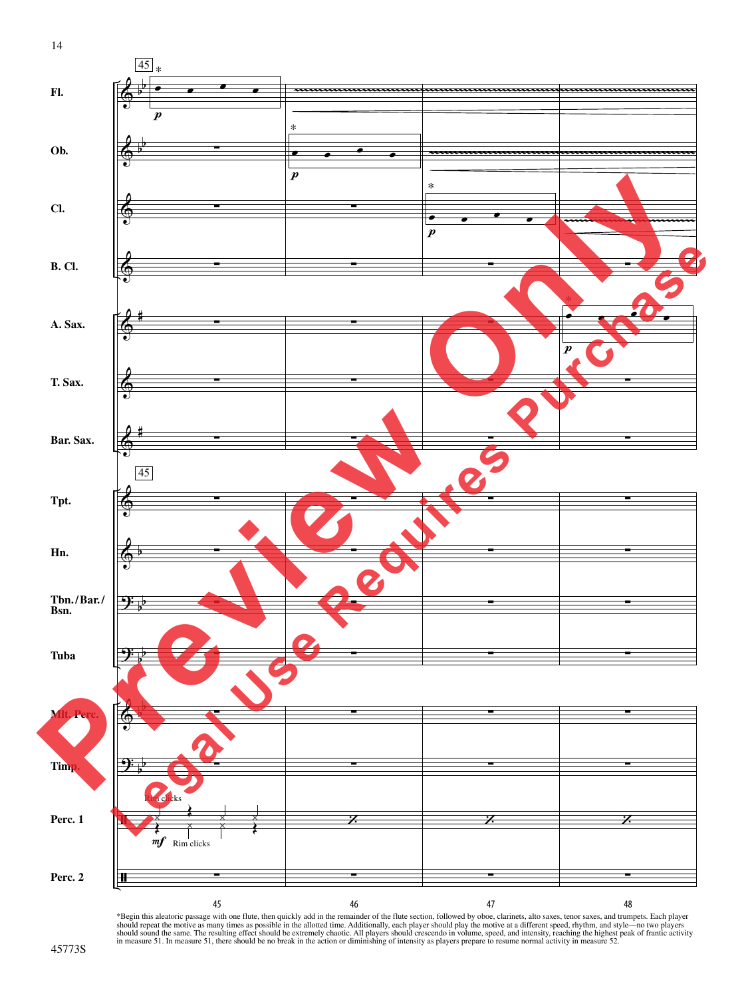

\*Begin this aleatoric passage with one flute, then quickly add in the remainder of the flute section, followed by oboe, clarinets, alto saxes, tenor saxes, and trumpets. Each player<br>should repeat the motive as many times a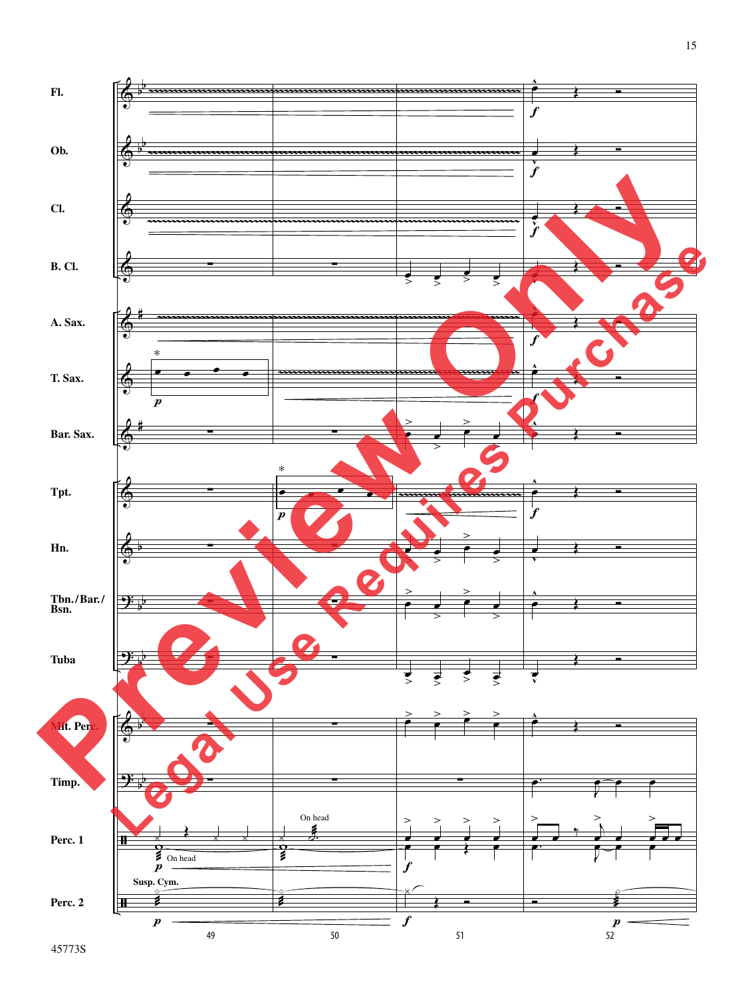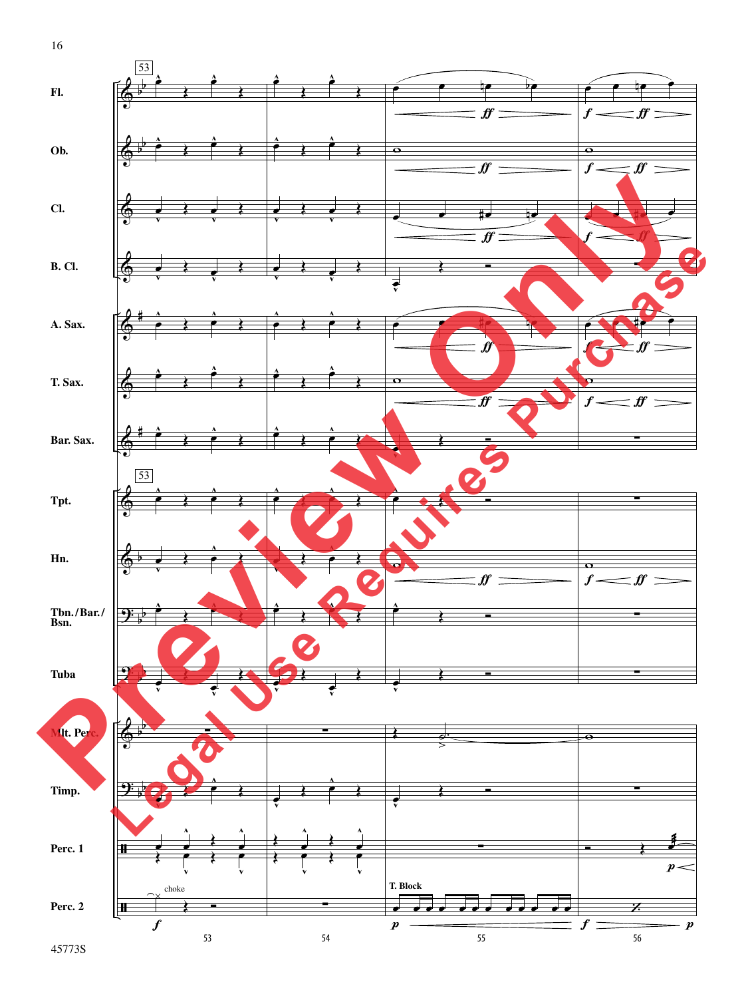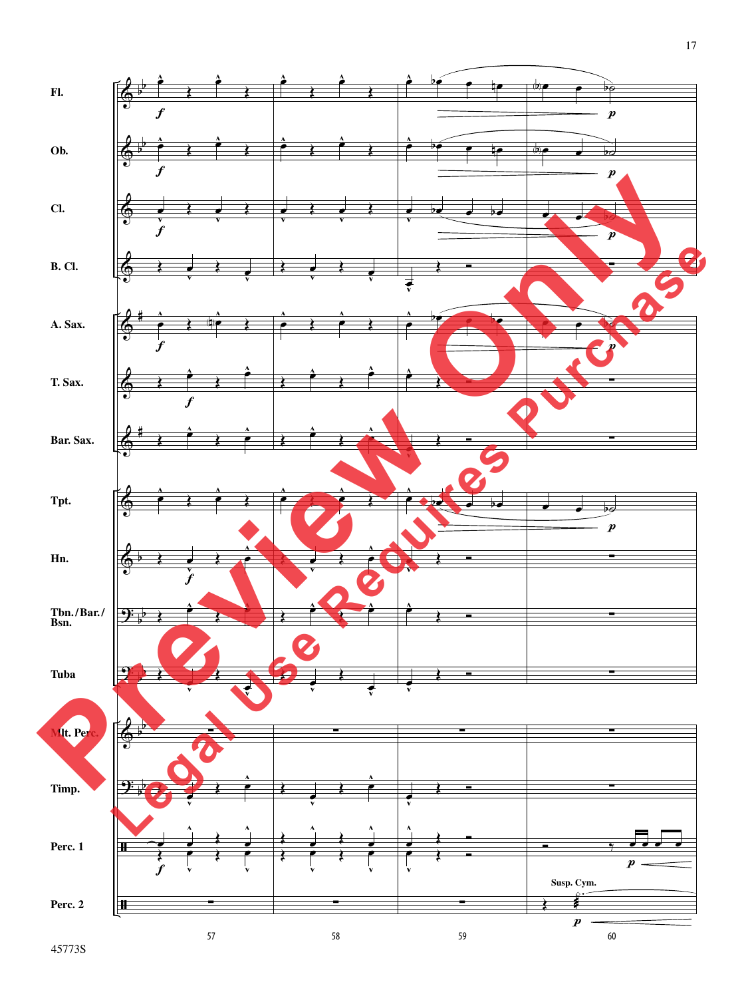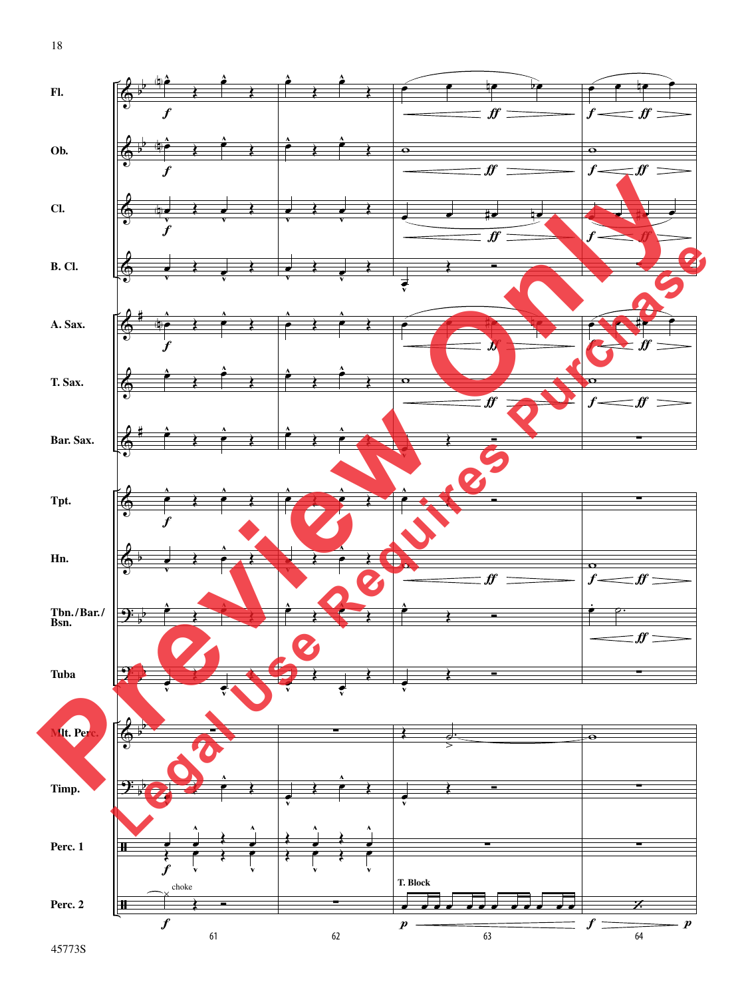

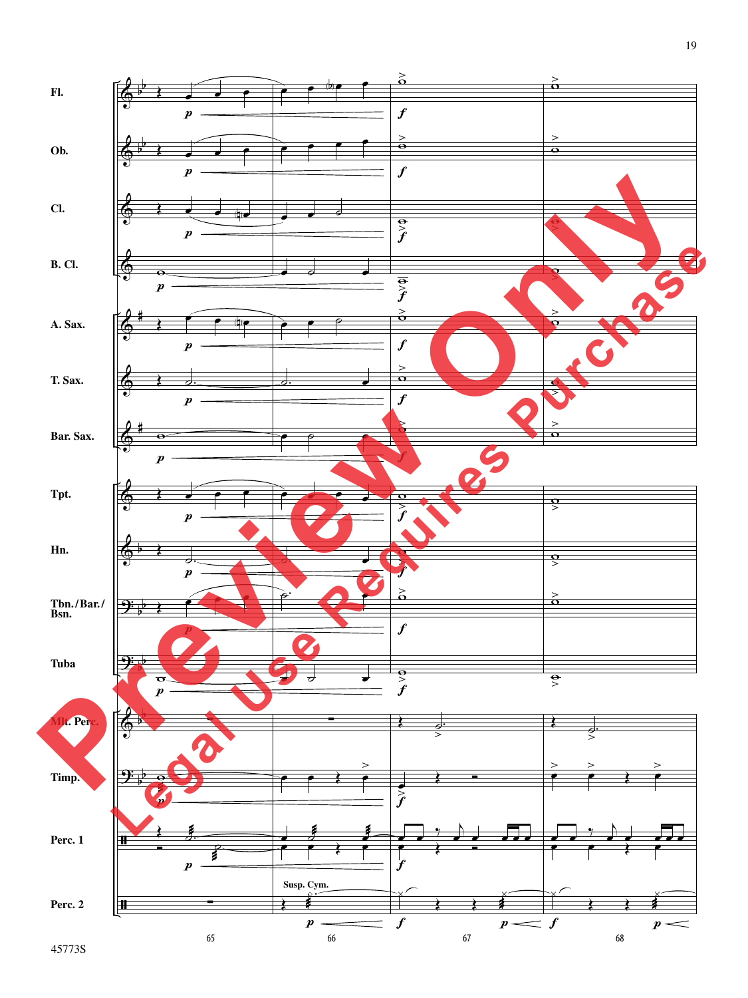